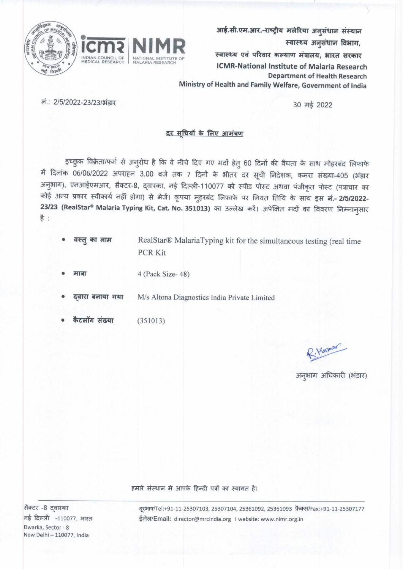

आई.सी.एम.आर.-राष्ट्रीय मलेरिया अनुसंधान संस्थान स्वास्थ्य अनुसंधान विभाग,

स्वास्थ्य एवं परिवार कल्याण मंत्रालय, भारत सरकार **ICMR-National Institute of Malaria Research Department of Health Research** Ministry of Health and Family Welfare, Government of India

नं.: 2/5/2022-23/23/भंडार

30 मई 2022

## दर सुचियों के लिए आमंत्रण

इच्छुक विक्रेता/फर्म से अनुरोध है कि वे नीचे दिए गए मदों हेतु 60 दिनों की वैधता के साथ मोहरबंद लिफाफे में दिनांक 06/06/2022 अपराहन 3.00 बजे तक 7 दिनों के भीतर दर सूची निदेशक, कमरा संख्या-405 (भंडार अनुभाग), एनआईएमआर, सैक्टर-8, द्वारका, नई दिल्ली-110077 को स्पीड पोस्ट अथवा पंजीकृत पोस्ट (पत्राचार का कोई अन्य प्रकार स्वीकार्य नहीं होगा) से भेजें। कृपया मुहरबंद लिफाफे पर नियत तिथि के साथ इस **नं.- 2/5/2022-**23/23 (RealStar® Malaria Typing Kit, Cat. No. 351013) का उल्लेख करें। अपेक्षित मदों का विवरण निम्नानुसार  $\frac{4}{5}$ 

- वस्तु का नाम RealStar® MalariaTyping kit for the simultaneous testing (real time **PCR Kit**
- 4 (Pack Size-48) मान्ना

दवारा बनाया गया M/s Altona Diagnostics India Private Limited

कैटलॉग संख्या  $(351013)$ 

R. Kumons

अनुभाग अधिकारी (भंडार)

हमारे संस्थान में आपके हिन्दी पत्रों का स्वागत है।

सैक्टर -8 दवारका नई दिल्ली -110077, भारत Dwarka, Sector - 8 New Delhi - 110077, India

दूरभाष/Tel:+91-11-25307103, 25307104, 25361092, 25361093 फ़ैक्स/Fax:+91-11-25307177 ईमेल/Email: director@mrcindia.org | website: www.nimr.org.in